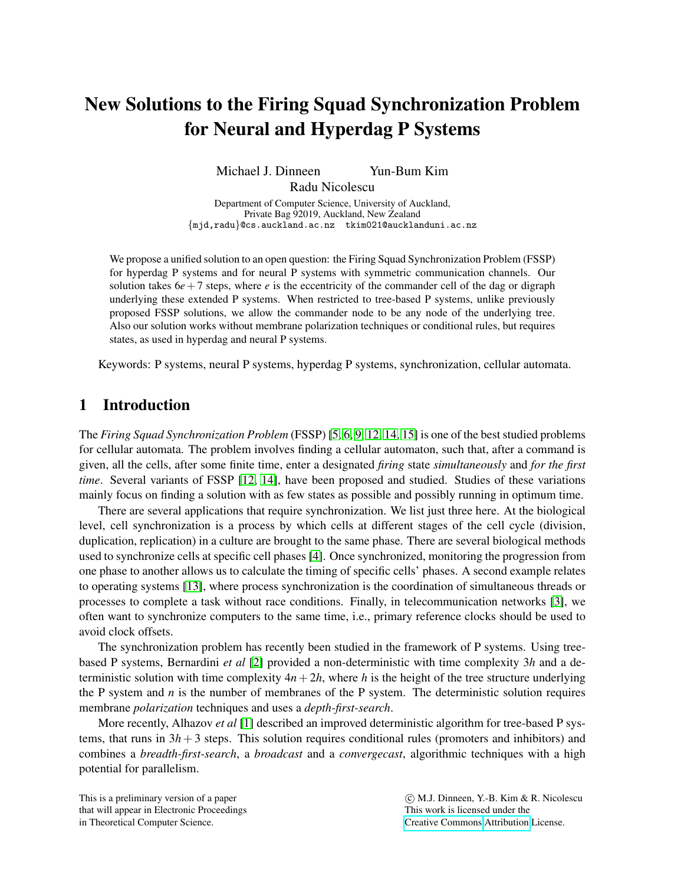# New Solutions to the Firing Squad Synchronization Problem for Neural and Hyperdag P Systems

Michael J. Dinneen Yun-Bum Kim Radu Nicolescu

Department of Computer Science, University of Auckland, Private Bag 92019, Auckland, New Zealand {mjd,radu}@cs.auckland.ac.nz tkim021@aucklanduni.ac.nz

We propose a unified solution to an open question: the Firing Squad Synchronization Problem (FSSP) for hyperdag P systems and for neural P systems with symmetric communication channels. Our solution takes  $6e+7$  steps, where *e* is the eccentricity of the commander cell of the dag or digraph underlying these extended P systems. When restricted to tree-based P systems, unlike previously proposed FSSP solutions, we allow the commander node to be any node of the underlying tree. Also our solution works without membrane polarization techniques or conditional rules, but requires states, as used in hyperdag and neural P systems.

Keywords: P systems, neural P systems, hyperdag P systems, synchronization, cellular automata.

# 1 Introduction

The *Firing Squad Synchronization Problem* (FSSP) [\[5,](#page-12-0) [6,](#page-12-1) [9,](#page-13-0) [12,](#page-13-1) [14,](#page-13-2) [15\]](#page-13-3) is one of the best studied problems for cellular automata. The problem involves finding a cellular automaton, such that, after a command is given, all the cells, after some finite time, enter a designated *firing* state *simultaneously* and *for the first time*. Several variants of FSSP [\[12,](#page-13-1) [14\]](#page-13-2), have been proposed and studied. Studies of these variations mainly focus on finding a solution with as few states as possible and possibly running in optimum time.

There are several applications that require synchronization. We list just three here. At the biological level, cell synchronization is a process by which cells at different stages of the cell cycle (division, duplication, replication) in a culture are brought to the same phase. There are several biological methods used to synchronize cells at specific cell phases [\[4\]](#page-12-2). Once synchronized, monitoring the progression from one phase to another allows us to calculate the timing of specific cells' phases. A second example relates to operating systems [\[13\]](#page-13-4), where process synchronization is the coordination of simultaneous threads or processes to complete a task without race conditions. Finally, in telecommunication networks [\[3\]](#page-12-3), we often want to synchronize computers to the same time, i.e., primary reference clocks should be used to avoid clock offsets.

The synchronization problem has recently been studied in the framework of P systems. Using treebased P systems, Bernardini *et al* [\[2\]](#page-12-4) provided a non-deterministic with time complexity 3*h* and a deterministic solution with time complexity  $4n+2h$ , where *h* is the height of the tree structure underlying the P system and  $n$  is the number of membranes of the P system. The deterministic solution requires membrane *polarization* techniques and uses a *depth-first-search*.

More recently, Alhazov *et al* [\[1\]](#page-12-5) described an improved deterministic algorithm for tree-based P systems, that runs in  $3h + 3$  steps. This solution requires conditional rules (promoters and inhibitors) and combines a *breadth-first-search*, a *broadcast* and a *convergecast*, algorithmic techniques with a high potential for parallelism.

This is a preliminary version of a paper that will appear in Electronic Proceedings in Theoretical Computer Science.

 c M.J. Dinneen, Y.-B. Kim & R. Nicolescu This work is licensed under the [Creative Commons](http://creativecommons.org) [Attribution](http://creativecommons.org/licenses/by/3.0/) License.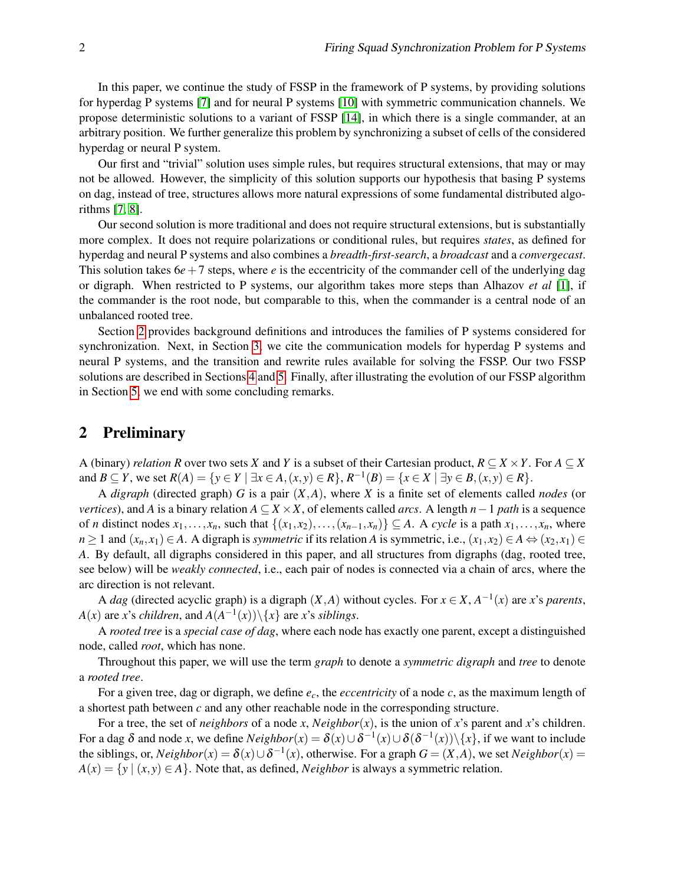In this paper, we continue the study of FSSP in the framework of P systems, by providing solutions for hyperdag P systems [\[7\]](#page-12-6) and for neural P systems [\[10\]](#page-13-5) with symmetric communication channels. We propose deterministic solutions to a variant of FSSP [\[14\]](#page-13-2), in which there is a single commander, at an arbitrary position. We further generalize this problem by synchronizing a subset of cells of the considered hyperdag or neural P system.

Our first and "trivial" solution uses simple rules, but requires structural extensions, that may or may not be allowed. However, the simplicity of this solution supports our hypothesis that basing P systems on dag, instead of tree, structures allows more natural expressions of some fundamental distributed algorithms [\[7,](#page-12-6) [8\]](#page-12-7).

Our second solution is more traditional and does not require structural extensions, but is substantially more complex. It does not require polarizations or conditional rules, but requires *states*, as defined for hyperdag and neural P systems and also combines a *breadth-first-search*, a *broadcast* and a *convergecast*. This solution takes  $6e+7$  steps, where *e* is the eccentricity of the commander cell of the underlying dag or digraph. When restricted to P systems, our algorithm takes more steps than Alhazov *et al* [\[1\]](#page-12-5), if the commander is the root node, but comparable to this, when the commander is a central node of an unbalanced rooted tree.

Section [2](#page-1-0) provides background definitions and introduces the families of P systems considered for synchronization. Next, in Section [3,](#page-2-0) we cite the communication models for hyperdag P systems and neural P systems, and the transition and rewrite rules available for solving the FSSP. Our two FSSP solutions are described in Sections [4](#page-5-0) and [5.](#page-6-0) Finally, after illustrating the evolution of our FSSP algorithm in Section [5,](#page-6-0) we end with some concluding remarks.

### <span id="page-1-0"></span>2 Preliminary

A (binary) *relation R* over two sets *X* and *Y* is a subset of their Cartesian product,  $R \subseteq X \times Y$ . For  $A \subseteq X$ and  $B \subseteq Y$ , we set  $R(A) = \{y \in Y \mid \exists x \in A, (x, y) \in R\}$ ,  $R^{-1}(B) = \{x \in X \mid \exists y \in B, (x, y) \in R\}$ .

A *digraph* (directed graph) *G* is a pair (*X*,*A*), where *X* is a finite set of elements called *nodes* (or *vertices*), and *A* is a binary relation  $A \subseteq X \times X$ , of elements called *arcs*. A length *n*−1 *path* is a sequence of *n* distinct nodes  $x_1, \ldots, x_n$ , such that  $\{(x_1, x_2), \ldots, (x_{n-1}, x_n)\} \subseteq A$ . A *cycle* is a path  $x_1, \ldots, x_n$ , where *n* ≥ 1 and  $(x_n, x_1)$  ∈ *A*. A digraph is *symmetric* if its relation *A* is symmetric, i.e.,  $(x_1, x_2)$  ∈ *A* ⇔  $(x_2, x_1)$  ∈ *A*. By default, all digraphs considered in this paper, and all structures from digraphs (dag, rooted tree, see below) will be *weakly connected*, i.e., each pair of nodes is connected via a chain of arcs, where the arc direction is not relevant.

A *dag* (directed acyclic graph) is a digraph  $(X, A)$  without cycles. For  $x \in X$ ,  $A^{-1}(x)$  are *x*'s *parents*,  $A(x)$  are *x*'s *children*, and  $A(A^{-1}(x))\setminus\{x\}$  are *x*'s *siblings*.

A *rooted tree* is a *special case of dag*, where each node has exactly one parent, except a distinguished node, called *root*, which has none.

Throughout this paper, we will use the term *graph* to denote a *symmetric digraph* and *tree* to denote a *rooted tree*.

For a given tree, dag or digraph, we define *ec*, the *eccentricity* of a node *c*, as the maximum length of a shortest path between *c* and any other reachable node in the corresponding structure.

For a tree, the set of *neighbors* of a node *x*,  $Neighbour(x)$ , is the union of *x*'s parent and *x*'s children. For a dag  $\delta$  and node *x*, we define  $Neighbour(x) = \delta(x) \cup \delta^{-1}(x) \cup \delta(\delta^{-1}(x)) \setminus \{x\}$ , if we want to include the siblings, or,  $Neighbour(x) = \delta(x) \cup \delta^{-1}(x)$ , otherwise. For a graph  $G = (X, A)$ , we set  $Neighbour(x)$  $A(x) = \{y \mid (x, y) \in A\}$ . Note that, as defined, *Neighbor* is always a symmetric relation.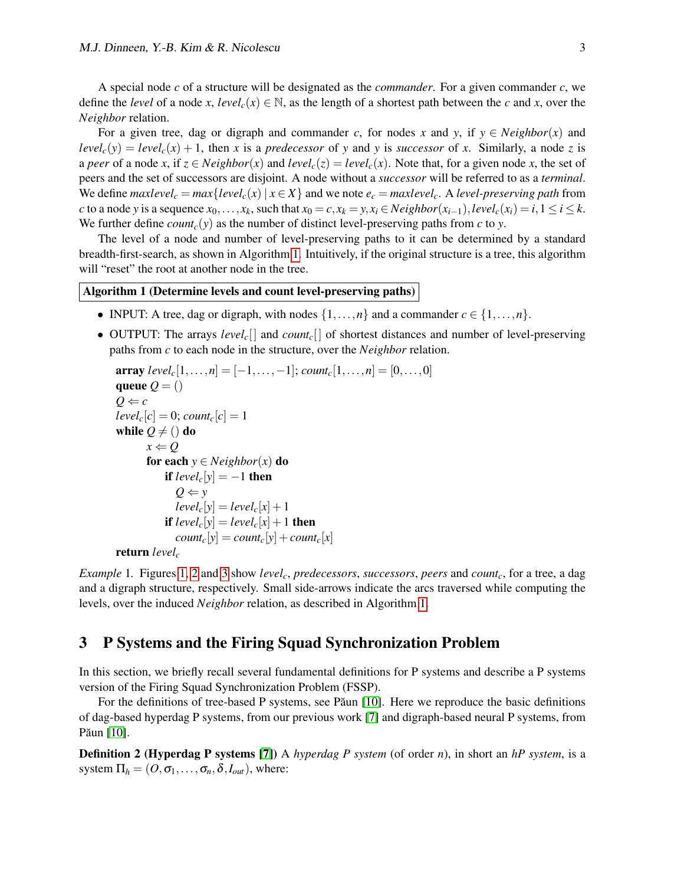A special node *c* of a structure will be designated as the *commander*. For a given commander *c*, we define the *level* of a node *x*, *level<sub>c</sub>*( $x$ )  $\in \mathbb{N}$ , as the length of a shortest path between the *c* and *x*, over the *Neighbor* relation.

For a given tree, dag or digraph and commander *c*, for nodes *x* and *y*, if  $y \in Neighbour(x)$  and  $level_c(y) = level_c(x) + 1$ , then *x* is a *predecessor* of *y* and *y* is *successor* of *x*. Similarly, a node *z* is a *peer* of a node *x*, if  $z \in Neighbour(x)$  and  $level_c(z) = level_c(x)$ . Note that, for a given node *x*, the set of peers and the set of successors are disjoint. A node without a *successor* will be referred to as a *terminal*. We define *maxlevel*<sub>c</sub> =  $max\{level_c(x) | x \in X\}$  and we note  $e_c = maxlevel_c$ . A *level-preserving path* from c to a node y is a sequence  $x_0, \ldots, x_k$ , such that  $x_0 = c, x_k = y, x_i \in Neighbour(x_{i-1}), level_c(x_i) = i, 1 \le i \le k$ . We further define *count<sub>c</sub>*(*y*) as the number of distinct level-preserving paths from *c* to *y*.

The level of a node and number of level-preserving paths to it can be determined by a standard breadth-first-search, as shown in Algorithm [1.](#page-2-1) Intuitively, if the original structure is a tree, this algorithm will "reset" the root at another node in the tree.

### <span id="page-2-1"></span>Algorithm 1 (Determine levels and count level-preserving paths)

- INPUT: A tree, dag or digraph, with nodes  $\{1,\ldots,n\}$  and a commander  $c \in \{1,\ldots,n\}$ .
- OUTPUT: The arrays *levelc*[] and *countc*[] of shortest distances and number of level-preserving paths from *c* to each node in the structure, over the *Neighbor* relation.

```
array \: level_c[1,\ldots,n] = [-1,\ldots,-1]; \: count_c[1,\ldots,n] = [0,\ldots,0]queue Q = ()Q \Leftarrow clevel_c[c] = 0; count<sub>c</sub>[c] = 1
while Q \neq () do
       x \leftarrow Qfor each y \in Neighbour(x) do
            if level_c[y] = -1 then
               Q \Leftarrow ylevel_c[y] = level_c[x] + 1if level_c[y] = level_c[x] + 1 then
               count_c[y] = count_c[y] + count_c[x]return levelc
```
*Example* 1*.* Figures [1,](#page-3-0) [2](#page-3-1) and [3](#page-4-0) show *levelc*, *predecessors*, *successors*, *peers* and *countc*, for a tree, a dag and a digraph structure, respectively. Small side-arrows indicate the arcs traversed while computing the levels, over the induced *Neighbor* relation, as described in Algorithm [1.](#page-2-1)

### <span id="page-2-0"></span>3 P Systems and the Firing Squad Synchronization Problem

In this section, we briefly recall several fundamental definitions for P systems and describe a P systems version of the Firing Squad Synchronization Problem (FSSP).

For the definitions of tree-based P systems, see Paun  $[10]$ . Here we reproduce the basic definitions of dag-based hyperdag P systems, from our previous work [\[7\]](#page-12-6) and digraph-based neural P systems, from Păun [\[10\]](#page-13-5).

Definition 2 (Hyperdag P systems [\[7\]](#page-12-6)) A *hyperdag P system* (of order *n*), in short an *hP system*, is a system  $\Pi_h = (O, \sigma_1, \dots, \sigma_n, \delta, I_{out})$ , where: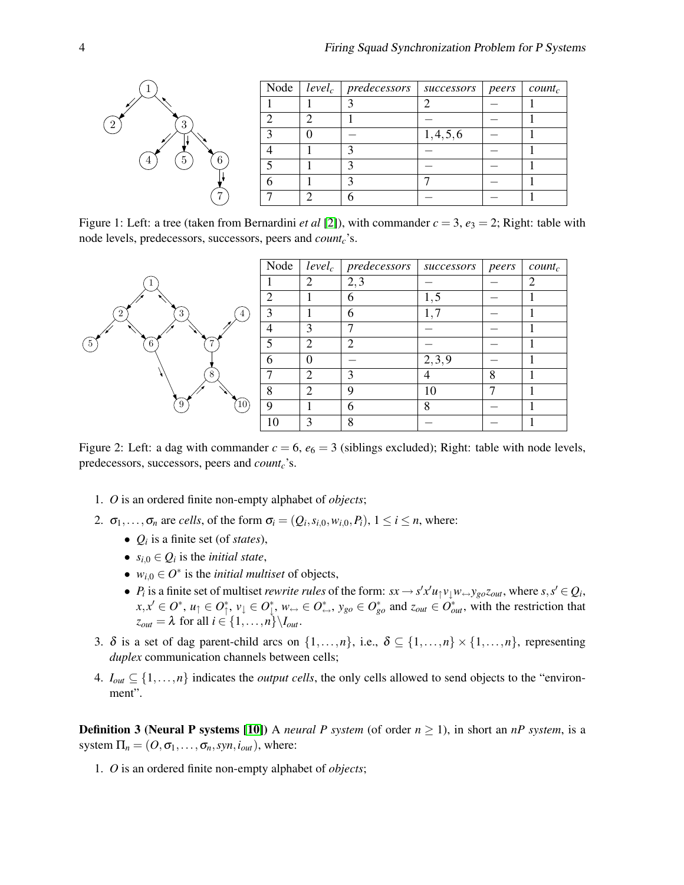

<span id="page-3-0"></span>Figure 1: Left: a tree (taken from Bernardini *et al* [\[2\]](#page-12-4)), with commander  $c = 3$ ,  $e_3 = 2$ ; Right: table with node levels, predecessors, successors, peers and *countc*'s.



<span id="page-3-1"></span>Figure 2: Left: a dag with commander  $c = 6$ ,  $e_6 = 3$  (siblings excluded); Right: table with node levels, predecessors, successors, peers and *countc*'s.

- 1. *O* is an ordered finite non-empty alphabet of *objects*;
- 2.  $\sigma_1, \ldots, \sigma_n$  are *cells*, of the form  $\sigma_i = (Q_i, s_{i,0}, w_{i,0}, P_i)$ ,  $1 \le i \le n$ , where:
	- $Q_i$  is a finite set (of *states*),
	- $s_{i,0} \in Q_i$  is the *initial state*,
	- $w_{i,0} \in O^*$  is the *initial multiset* of objects,
	- *P<sub>i</sub>* is a finite set of multiset *rewrite rules* of the form:  $sx \to s'x'u_1v_1w \leftrightarrow y_{go}z_{out}$ , where  $s, s' \in Q_i$ ,  $x, x' \in O^*$ ,  $u_{\uparrow} \in O_{\uparrow}^*$ ,  $v_{\downarrow} \in O_{\downarrow}^*$ ,  $w_{\leftrightarrow} \in O_{\leftrightarrow}^*$ ,  $y_{go} \in O_{go}^*$  and  $z_{out} \in O_{out}^*$ , with the restriction that  $z_{out} = \lambda$  for all  $i \in \{1, \ldots, n\} \setminus I_{out}$ .
- 3.  $\delta$  is a set of dag parent-child arcs on  $\{1,\ldots,n\}$ , i.e.,  $\delta \subseteq \{1,\ldots,n\} \times \{1,\ldots,n\}$ , representing *duplex* communication channels between cells;
- 4.  $I_{out} \subseteq \{1, \ldots, n\}$  indicates the *output cells*, the only cells allowed to send objects to the "environment".

**Definition 3 (Neural P systems [\[10\]](#page-13-5))** A *neural P system* (of order  $n \ge 1$ ), in short an *nP system*, is a system  $\Pi_n = (O, \sigma_1, \ldots, \sigma_n, syn, i_{out})$ , where:

1. *O* is an ordered finite non-empty alphabet of *objects*;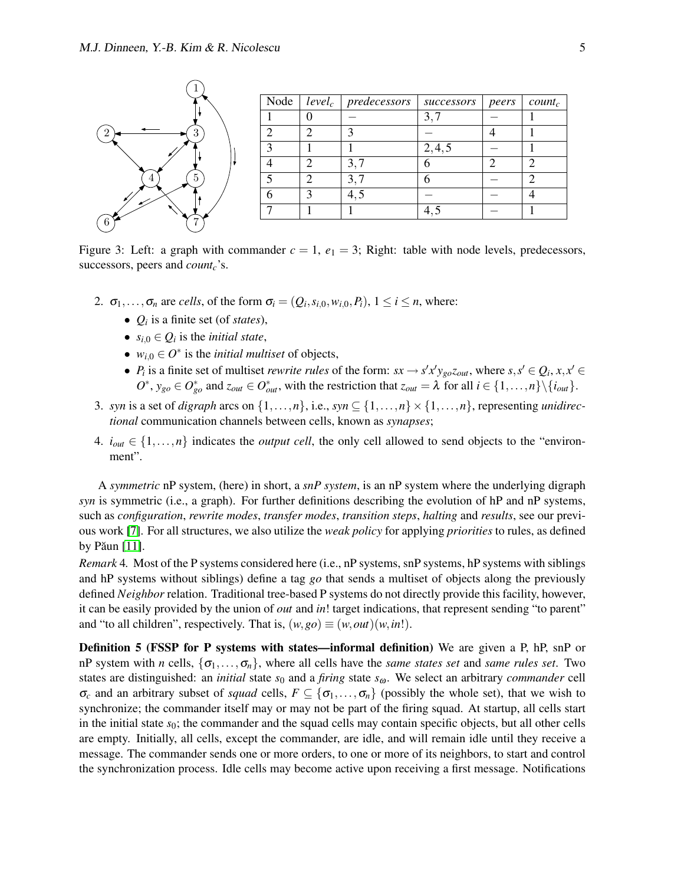

<span id="page-4-0"></span>Figure 3: Left: a graph with commander  $c = 1$ ,  $e_1 = 3$ ; Right: table with node levels, predecessors, successors, peers and *countc*'s.

- 2.  $\sigma_1, \ldots, \sigma_n$  are *cells*, of the form  $\sigma_i = (Q_i, s_{i,0}, w_{i,0}, P_i)$ ,  $1 \le i \le n$ , where:
	- *Q<sup>i</sup>* is a finite set (of *states*),
	- $s_{i,0} \in Q_i$  is the *initial state*,
	- $w_{i,0} \in O^*$  is the *initial multiset* of objects,
	- *P<sub>i</sub>* is a finite set of multiset *rewrite rules* of the form:  $sx \to s'x'y_{go}z_{out}$ , where  $s, s' \in Q_i, x, x' \in$  $O^*$ ,  $y_{go} \in O_{go}^*$  and  $z_{out} \in O_{out}^*$ , with the restriction that  $z_{out} = \lambda$  for all  $i \in \{1, ..., n\} \setminus \{i_{out}\}.$
- 3. *syn* is a set of *digraph* arcs on  $\{1, \ldots, n\}$ , i.e., *syn*  $\subseteq$   $\{1, \ldots, n\} \times \{1, \ldots, n\}$ , representing *unidirectional* communication channels between cells, known as *synapses*;
- 4.  $i_{out} \in \{1, \ldots, n\}$  indicates the *output cell*, the only cell allowed to send objects to the "environment".

A *symmetric* nP system, (here) in short, a *snP system*, is an nP system where the underlying digraph *syn* is symmetric (i.e., a graph). For further definitions describing the evolution of hP and nP systems, such as *configuration*, *rewrite modes*, *transfer modes*, *transition steps*, *halting* and *results*, see our previous work [\[7\]](#page-12-6). For all structures, we also utilize the *weak policy* for applying *priorities* to rules, as defined by Păun  $[11]$ .

*Remark* 4*.* Most of the P systems considered here (i.e., nP systems, snP systems, hP systems with siblings and hP systems without siblings) define a tag *go* that sends a multiset of objects along the previously defined *Neighbor* relation. Traditional tree-based P systems do not directly provide this facility, however, it can be easily provided by the union of *out* and *in*! target indications, that represent sending "to parent" and "to all children", respectively. That is,  $(w, go) \equiv (w, out)(w, in!)$ .

Definition 5 (FSSP for P systems with states—informal definition) We are given a P, hP, snP or nP system with *n* cells,  $\{\sigma_1, \ldots, \sigma_n\}$ , where all cells have the *same states set* and *same rules set*. Two states are distinguished: an *initial* state  $s_0$  and a *firing* state  $s_\omega$ . We select an arbitrary *commander* cell  $\sigma_c$  and an arbitrary subset of *squad* cells,  $F \subseteq \{\sigma_1, \ldots, \sigma_n\}$  (possibly the whole set), that we wish to synchronize; the commander itself may or may not be part of the firing squad. At startup, all cells start in the initial state  $s_0$ ; the commander and the squad cells may contain specific objects, but all other cells are empty. Initially, all cells, except the commander, are idle, and will remain idle until they receive a message. The commander sends one or more orders, to one or more of its neighbors, to start and control the synchronization process. Idle cells may become active upon receiving a first message. Notifications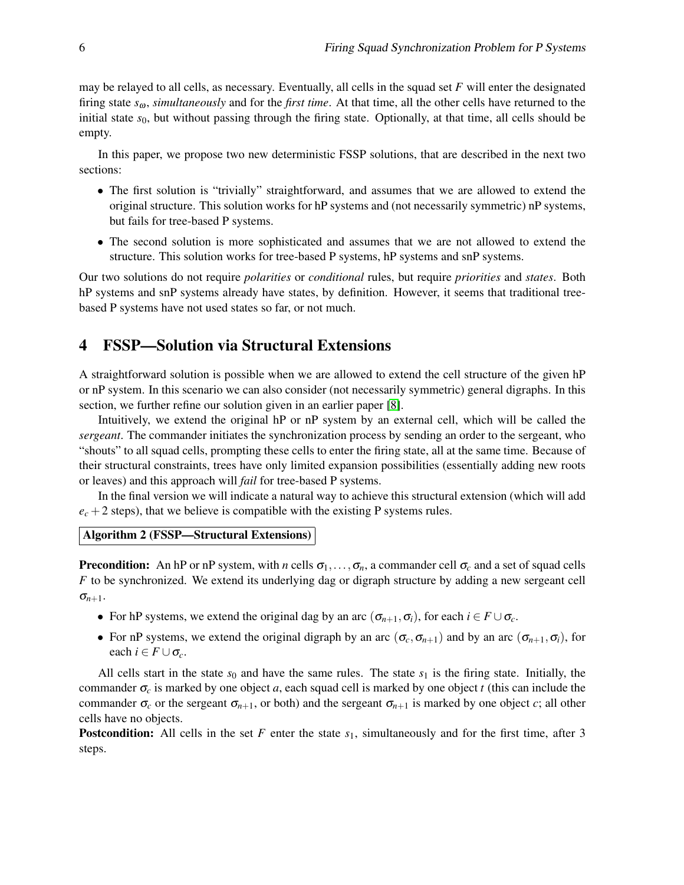may be relayed to all cells, as necessary. Eventually, all cells in the squad set *F* will enter the designated firing state *s*ω, *simultaneously* and for the *first time*. At that time, all the other cells have returned to the initial state  $s<sub>0</sub>$ , but without passing through the firing state. Optionally, at that time, all cells should be empty.

In this paper, we propose two new deterministic FSSP solutions, that are described in the next two sections:

- The first solution is "trivially" straightforward, and assumes that we are allowed to extend the original structure. This solution works for hP systems and (not necessarily symmetric) nP systems, but fails for tree-based P systems.
- The second solution is more sophisticated and assumes that we are not allowed to extend the structure. This solution works for tree-based P systems, hP systems and snP systems.

Our two solutions do not require *polarities* or *conditional* rules, but require *priorities* and *states*. Both hP systems and snP systems already have states, by definition. However, it seems that traditional treebased P systems have not used states so far, or not much.

# <span id="page-5-0"></span>4 FSSP—Solution via Structural Extensions

A straightforward solution is possible when we are allowed to extend the cell structure of the given hP or nP system. In this scenario we can also consider (not necessarily symmetric) general digraphs. In this section, we further refine our solution given in an earlier paper [\[8\]](#page-12-7).

Intuitively, we extend the original hP or nP system by an external cell, which will be called the *sergeant*. The commander initiates the synchronization process by sending an order to the sergeant, who "shouts" to all squad cells, prompting these cells to enter the firing state, all at the same time. Because of their structural constraints, trees have only limited expansion possibilities (essentially adding new roots or leaves) and this approach will *fail* for tree-based P systems.

In the final version we will indicate a natural way to achieve this structural extension (which will add  $e_c + 2$  steps), that we believe is compatible with the existing P systems rules.

### <span id="page-5-1"></span>Algorithm 2 (FSSP—Structural Extensions)

**Precondition:** An hP or nP system, with *n* cells  $\sigma_1, \ldots, \sigma_n$ , a commander cell  $\sigma_c$  and a set of squad cells *F* to be synchronized. We extend its underlying dag or digraph structure by adding a new sergeant cell  $\sigma_{n+1}$ .

- For hP systems, we extend the original dag by an arc  $(\sigma_{n+1}, \sigma_i)$ , for each  $i \in F \cup \sigma_c$ .
- For nP systems, we extend the original digraph by an arc  $(\sigma_c, \sigma_{n+1})$  and by an arc  $(\sigma_{n+1}, \sigma_i)$ , for each  $i \in F \cup \sigma_c$ .

All cells start in the state  $s_0$  and have the same rules. The state  $s_1$  is the firing state. Initially, the commander  $\sigma_c$  is marked by one object *a*, each squad cell is marked by one object *t* (this can include the commander  $\sigma_c$  or the sergeant  $\sigma_{n+1}$ , or both) and the sergeant  $\sigma_{n+1}$  is marked by one object *c*; all other cells have no objects.

**Postcondition:** All cells in the set F enter the state  $s_1$ , simultaneously and for the first time, after 3 steps.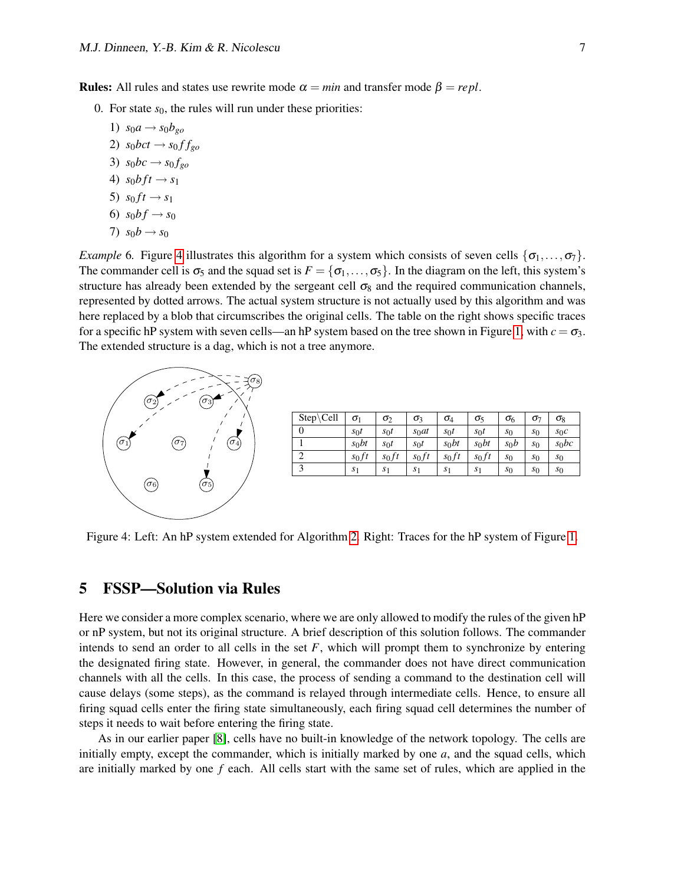**Rules:** All rules and states use rewrite mode  $\alpha = min$  and transfer mode  $\beta = repl$ .

- 0. For state  $s_0$ , the rules will run under these priorities:
	- 1)  $s_0a \rightarrow s_0b_{g}$ 2)  $s_0$ *bct*  $\rightarrow$   $s_0$ *f*  $f_{go}$ 3)  $s_0bc \rightarrow s_0f_{g}$ 4)  $s_0 b f t \to s_1$ 5)  $s_0 f t \to s_1$ 6)  $s_0 b f \to s_0$ 7)  $s_0b \to s_0$

*Example* 6. Figure [4](#page-6-1) illustrates this algorithm for a system which consists of seven cells  $\{\sigma_1, \ldots, \sigma_7\}$ . The commander cell is  $\sigma_5$  and the squad set is  $F = {\sigma_1, \ldots, \sigma_5}$ . In the diagram on the left, this system's structure has already been extended by the sergeant cell  $\sigma_8$  and the required communication channels, represented by dotted arrows. The actual system structure is not actually used by this algorithm and was here replaced by a blob that circumscribes the original cells. The table on the right shows specific traces for a specific hP system with seven cells—an hP system based on the tree shown in Figure [1,](#page-3-0) with  $c = \sigma_3$ . The extended structure is a dag, which is not a tree anymore.



| $Step\text{\textbackslash}Cell$ | $\sigma_1$     | $\sigma_2$     | σ3             | $\sigma_4$     | $\sigma_5$     | $\sigma_6$     | σ7    | $\sigma_8$     |
|---------------------------------|----------------|----------------|----------------|----------------|----------------|----------------|-------|----------------|
| 0                               | $S_0 t$        | $s_0t$         | $s_0$ at       | $s_0 t$        | $S_0 t$        | $s_0$          | $s_0$ | $S_0C$         |
|                                 | $s_0bt$        | $S_0$ t        | $s_0t$         | $s_0bt$        | $s_0$ bt       | $s_0b$         | $s_0$ | $s_0bc$        |
| 2                               | $s_0$ ft       | $s_0$ ft       | $s_0$ ft       | $s_0$ ft       | $s_0$ ft       | $s_0$          | $s_0$ | s <sub>0</sub> |
| 3                               | S <sub>1</sub> | S <sub>1</sub> | S <sub>1</sub> | S <sub>1</sub> | S <sub>1</sub> | s <sub>0</sub> | s0    | $s_0$          |

<span id="page-6-1"></span>Figure 4: Left: An hP system extended for Algorithm [2.](#page-5-1) Right: Traces for the hP system of Figure [1.](#page-3-0)

### <span id="page-6-0"></span>5 FSSP—Solution via Rules

Here we consider a more complex scenario, where we are only allowed to modify the rules of the given hP or nP system, but not its original structure. A brief description of this solution follows. The commander intends to send an order to all cells in the set  $F$ , which will prompt them to synchronize by entering the designated firing state. However, in general, the commander does not have direct communication channels with all the cells. In this case, the process of sending a command to the destination cell will cause delays (some steps), as the command is relayed through intermediate cells. Hence, to ensure all firing squad cells enter the firing state simultaneously, each firing squad cell determines the number of steps it needs to wait before entering the firing state.

As in our earlier paper [\[8\]](#page-12-7), cells have no built-in knowledge of the network topology. The cells are initially empty, except the commander, which is initially marked by one *a*, and the squad cells, which are initially marked by one *f* each. All cells start with the same set of rules, which are applied in the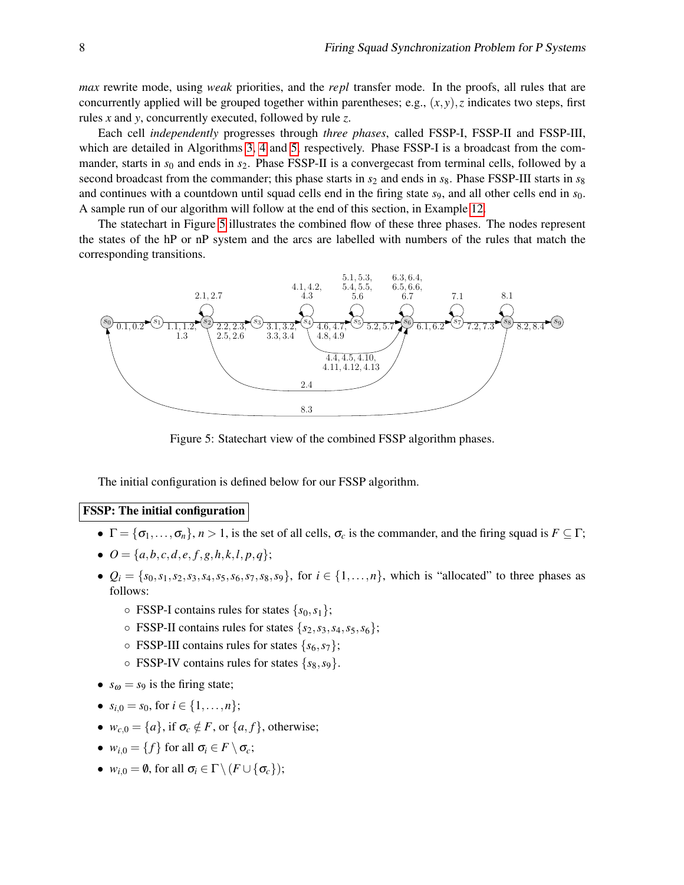*max* rewrite mode, using *weak* priorities, and the *repl* transfer mode. In the proofs, all rules that are concurrently applied will be grouped together within parentheses; e.g.,  $(x, y)$ , *z* indicates two steps, first rules *x* and *y*, concurrently executed, followed by rule *z*.

Each cell *independently* progresses through *three phases*, called FSSP-I, FSSP-II and FSSP-III, which are detailed in Algorithms [3,](#page-8-0) [4](#page-9-0) and [5,](#page-9-1) respectively. Phase FSSP-I is a broadcast from the commander, starts in  $s_0$  and ends in  $s_2$ . Phase FSSP-II is a convergecast from terminal cells, followed by a second broadcast from the commander; this phase starts in  $s_2$  and ends in  $s_8$ . Phase FSSP-III starts in  $s_8$ and continues with a countdown until squad cells end in the firing state  $s<sub>9</sub>$ , and all other cells end in  $s<sub>0</sub>$ . A sample run of our algorithm will follow at the end of this section, in Example [12.](#page-11-0)

The statechart in Figure [5](#page-6-0) illustrates the combined flow of these three phases. The nodes represent the states of the hP or nP system and the arcs are labelled with numbers of the rules that match the corresponding transitions.



Figure 5: Statechart view of the combined FSSP algorithm phases.

The initial configuration is defined below for our FSSP algorithm.

#### FSSP: The initial configuration

- $\Gamma = {\sigma_1, \ldots, \sigma_n}$ ,  $n > 1$ , is the set of all cells,  $\sigma_c$  is the commander, and the firing squad is  $F \subseteq \Gamma$ ;
- $\bullet$   $Q = \{a, b, c, d, e, f, g, h, k, l, p, q\};\$
- $Q_i = \{s_0, s_1, s_2, s_3, s_4, s_5, s_6, s_7, s_8, s_9\}$ , for  $i \in \{1, ..., n\}$ , which is "allocated" to three phases as follows:
	- $\circ$  FSSP-I contains rules for states  $\{s_0, s_1\}$ ;
	- FSSP-II contains rules for states {*s*2,*s*3,*s*4,*s*5,*s*6};
	- $\circ$  FSSP-III contains rules for states  $\{s_6, s_7\}$ ;
	- FSSP-IV contains rules for states {*s*8,*s*9}.
- $s_{\omega} = s_9$  is the firing state;
- $s_{i,0} = s_0$ , for  $i \in \{1, \ldots, n\}$ ;
- $w_{c,0} = \{a\}$ , if  $\sigma_c \notin F$ , or  $\{a, f\}$ , otherwise;
- $w_{i,0} = \{f\}$  for all  $\sigma_i \in F \setminus \sigma_c$ ;
- $w_{i,0} = \emptyset$ , for all  $\sigma_i \in \Gamma \setminus (F \cup \{\sigma_c\})$ ;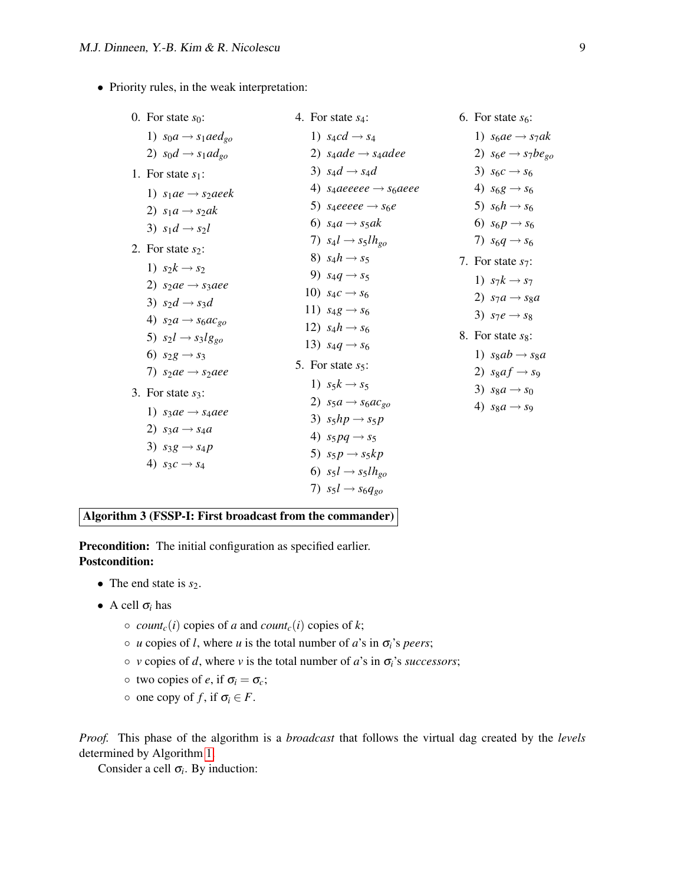• Priority rules, in the weak interpretation:

| 0. For state $s_0$ :                 | 4. For state $s_4$ :                          | 6. For state $s_6$ :             |
|--------------------------------------|-----------------------------------------------|----------------------------------|
| 1) $s_0a \rightarrow s_1 a e d_{go}$ | 1) $s_4cd \rightarrow s_4$                    | 1) $s_6 a e \rightarrow s_7 a k$ |
| 2) $s_0d \rightarrow s_1ad_{go}$     | 2) $s_4ade \rightarrow s_4adee$               | 2) $s_6e \rightarrow s_7be_{g0}$ |
| 1. For state $s_1$ :                 | 3) $s_4d \rightarrow s_4d$                    | 3) $s_6c \rightarrow s_6$        |
| 1) $s_1ae \rightarrow s_2aeek$       | 4) saaeeeee $\rightarrow$ s <sub>6</sub> aeee | 4) $s_6g \to s_6$                |
| 2) $s_1a \rightarrow s_2ak$          | 5) saeeeee $\rightarrow$ s <sub>6</sub> e     | 5) $s_6h \rightarrow s_6$        |
| 3) $s_1d \rightarrow s_2l$           | 6) $s_4a \rightarrow s_5ak$                   | 6) $s_6p \to s_6$                |
| 2. For state $s_2$ :                 | 7) $s_4l \rightarrow s_5lh_{go}$              | 7) $s_6q \rightarrow s_6$        |
| 1) $s_2k \rightarrow s_2$            | 8) $s_4h \rightarrow s_5$                     | 7. For state $s_7$ :             |
| 2) $s_2ae \rightarrow s_3 aee$       | 9) $s_4q \rightarrow s_5$                     | 1) $s_7k \rightarrow s_7$        |
| 3) $s_2d \rightarrow s_3d$           | 10) $s_4c \to s_6$                            | 2) $s_7a \rightarrow s_8a$       |
| 4) $s_2a \rightarrow s_6ac_{go}$     | 11) $s_4g \rightarrow s_6$                    | 3) $s_7e \rightarrow s_8$        |
| 5) $s_2 l \rightarrow s_3 l g_{g0}$  | 12) $s_4 h \to s_6$                           | 8. For state $s_8$ :             |
| 6) $s_2g \to s_3$                    | 13) $s_4q \to s_6$                            | 1) $s_8ab \rightarrow s_8a$      |
| 7) $s_2ae \rightarrow s_2aee$        | 5. For state $s_5$ :                          | 2) $sgaf \rightarrow sg$         |
|                                      | 1) $s_5k \rightarrow s_5$                     | 3) $s_8a \rightarrow s_0$        |
| 3. For state $s_3$ :                 | 2) $s_5a \rightarrow s_6ac_{g0}$              | 4) $s_8a \rightarrow s_9$        |
| 1) $s_3ae \rightarrow s_4aee$        | 3) $s_5hp \rightarrow s_5p$                   |                                  |
| 2) $s_3a \rightarrow s_4a$           | 4) $s_5pq \rightarrow s_5$                    |                                  |
| 3) $s_3g \rightarrow s_4p$           | 5) $s_5p \rightarrow s_5kp$                   |                                  |
| 4) $s_3c \rightarrow s_4$            | 6) $s_5l \rightarrow s_5lh_{g0}$              |                                  |
|                                      | 7) $s_5l \rightarrow s_6q_{g0}$               |                                  |
|                                      |                                               |                                  |

<span id="page-8-0"></span>Algorithm 3 (FSSP-I: First broadcast from the commander)

Precondition: The initial configuration as specified earlier. Postcondition:

- The end state is  $s_2$ .
- A cell  $\sigma_i$  has
	- $\circ$  *count<sub>c</sub>*(*i*) copies of *a* and *count<sub>c</sub>*(*i*) copies of *k*;
	- *u* copies of *l*, where *u* is the total number of *a*'s in σ*i*'s *peers*;
	- *v* copies of *d*, where *v* is the total number of *a*'s in σ*i*'s *successors*;
	- $\circ$  two copies of *e*, if  $\sigma_i = \sigma_c$ ;
	- $\circ$  one copy of *f*, if  $\sigma_i \in F$ .

*Proof.* This phase of the algorithm is a *broadcast* that follows the virtual dag created by the *levels* determined by Algorithm [1.](#page-2-1)

Consider a cell  $\sigma_i$ . By induction: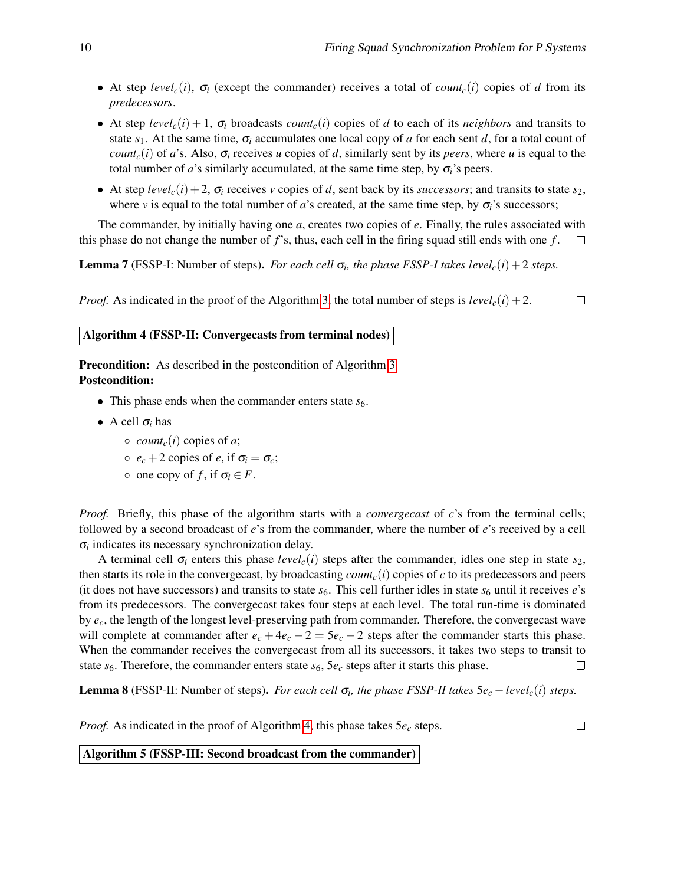- At step  $level_c(i)$ ,  $\sigma_i$  (except the commander) receives a total of *count<sub>c</sub>*(*i*) copies of *d* from its *predecessors*.
- At step  $level_c(i) + 1$ ,  $\sigma_i$  broadcasts *count<sub>c</sub>*(*i*) copies of *d* to each of its *neighbors* and transits to state  $s_1$ . At the same time,  $\sigma_i$  accumulates one local copy of *a* for each sent *d*, for a total count of *count<sub>c</sub>*(*i*) of *a*'s. Also,  $\sigma$ <sub>*i*</sub> receives *u* copies of *d*, similarly sent by its *peers*, where *u* is equal to the total number of *a*'s similarly accumulated, at the same time step, by  $\sigma_i$ 's peers.
- At step *level<sub>c</sub>*(*i*) + 2,  $\sigma$ <sub>*i*</sub> receives *v* copies of *d*, sent back by its *successors*; and transits to state *s*<sub>2</sub>, where *v* is equal to the total number of *a*'s created, at the same time step, by  $\sigma_i$ 's successors;

The commander, by initially having one *a*, creates two copies of *e*. Finally, the rules associated with this phase do not change the number of *f*'s, thus, each cell in the firing squad still ends with one *f* .  $\Box$ 

<span id="page-9-2"></span>**Lemma 7** (FSSP-I: Number of steps). *For each cell*  $\sigma_i$ , the phase *FSSP-I takes level<sub>c</sub>(i)* + 2 *steps.* 

*Proof.* As indicated in the proof of the Algorithm [3,](#page-8-0) the total number of steps is  $level_c(i) + 2$ .  $\Box$ 

#### <span id="page-9-0"></span>Algorithm 4 (FSSP-II: Convergecasts from terminal nodes)

**Precondition:** As described in the postcondition of Algorithm [3.](#page-8-0) Postcondition:

- This phase ends when the commander enters state  $s<sub>6</sub>$ .
- A cell  $\sigma_i$  has
	- $\circ$  *count<sub>c</sub>*(*i*) copies of *a*;
	- $\circ$  *e<sub>c</sub>* + 2 copies of *e*, if  $\sigma_i = \sigma_c$ ;
	- $\circ$  one copy of *f*, if  $\sigma_i \in F$ .

*Proof.* Briefly, this phase of the algorithm starts with a *convergecast* of *c*'s from the terminal cells; followed by a second broadcast of *e*'s from the commander, where the number of *e*'s received by a cell  $\sigma$ *i* indicates its necessary synchronization delay.

A terminal cell  $\sigma_i$  enters this phase *level<sub>c</sub>*(*i*) steps after the commander, idles one step in state  $s_2$ , then starts its role in the convergecast, by broadcasting  $count_c(i)$  copies of *c* to its predecessors and peers (it does not have successors) and transits to state  $s_6$ . This cell further idles in state  $s_6$  until it receives  $e$ 's from its predecessors. The convergecast takes four steps at each level. The total run-time is dominated by *ec*, the length of the longest level-preserving path from commander. Therefore, the convergecast wave will complete at commander after  $e_c + 4e_c - 2 = 5e_c - 2$  steps after the commander starts this phase. When the commander receives the convergecast from all its successors, it takes two steps to transit to state  $s_6$ . Therefore, the commander enters state  $s_6$ ,  $5e_c$  steps after it starts this phase.  $\Box$ 

<span id="page-9-3"></span>**Lemma 8** (FSSP-II: Number of steps). *For each cell*  $\sigma_i$ , the phase *FSSP-II* takes  $5e_c - level_c(i)$  steps.

<span id="page-9-1"></span>*Proof.* As indicated in the proof of Algorithm [4,](#page-9-0) this phase takes  $5e_c$  steps.

 $\Box$ 

Algorithm 5 (FSSP-III: Second broadcast from the commander)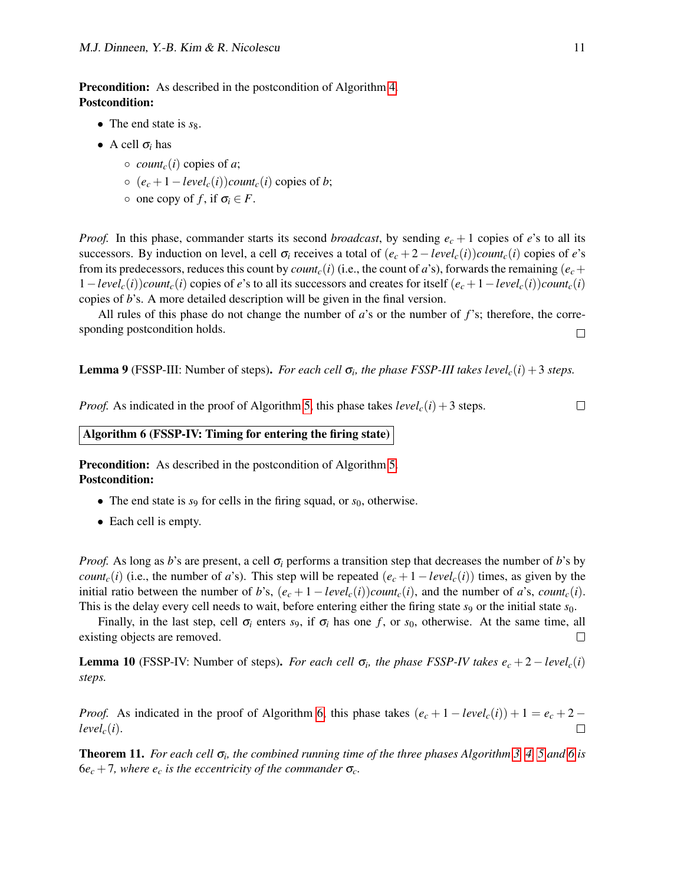- The end state is  $s_8$ .
- A cell  $\sigma_i$  has
	- $\circ$  *count<sub>c</sub>*(*i*) copies of *a*;
	- (*e<sup>c</sup>* +1−*levelc*(*i*))*countc*(*i*) copies of *b*;
	- $\circ$  one copy of *f*, if  $\sigma_i \in F$ .

*Proof.* In this phase, commander starts its second *broadcast*, by sending *e<sup>c</sup>* + 1 copies of *e*'s to all its successors. By induction on level, a cell  $\sigma_i$  receives a total of  $(e_i + 2 - level_c(i))$ *count<sub>c</sub>*(*i*) copies of *e*'s from its predecessors, reduces this count by *count<sub>c</sub>*(*i*) (i.e., the count of *a*'s), forwards the remaining ( $e_c$ +  $1 - level_c(i)$ *count<sub>c</sub>*(*i*) copies of *e*'s to all its successors and creates for itself  $(e_c + 1 - level_c(i))$ *count<sub>c</sub>*(*i*) copies of *b*'s. A more detailed description will be given in the final version.

All rules of this phase do not change the number of *a*'s or the number of *f*'s; therefore, the corresponding postcondition holds.  $\Box$ 

<span id="page-10-1"></span>**Lemma 9** (FSSP-III: Number of steps). *For each cell*  $\sigma_i$ , the phase FSSP-III takes level<sub>c</sub>( $i$ ) + 3 *steps.* 

<span id="page-10-0"></span>*Proof.* As indicated in the proof of Algorithm [5,](#page-9-1) this phase takes  $level_c(i) + 3$  steps.

## $\Box$

#### Algorithm 6 (FSSP-IV: Timing for entering the firing state)

Precondition: As described in the postcondition of Algorithm [5.](#page-9-1) Postcondition:

- The end state is  $s_9$  for cells in the firing squad, or  $s_0$ , otherwise.
- Each cell is empty.

*Proof.* As long as *b*'s are present, a cell σ*<sup>i</sup>* performs a transition step that decreases the number of *b*'s by *count<sub>c</sub>*(*i*) (i.e., the number of *a*'s). This step will be repeated  $(e_c + 1 - level_c(i))$  times, as given by the initial ratio between the number of *b*'s,  $(e_c + 1 - level_c(i))$ *count<sub>c</sub>*(*i*), and the number of *a*'s, *count<sub>c</sub>*(*i*). This is the delay every cell needs to wait, before entering either the firing state *s*<sup>9</sup> or the initial state *s*0.

Finally, in the last step, cell  $\sigma_i$  enters *s*9, if  $\sigma_i$  has one *f*, or *s*<sub>0</sub>, otherwise. At the same time, all existing objects are removed.  $\Box$ 

<span id="page-10-2"></span>**Lemma 10** (FSSP-IV: Number of steps). *For each cell*  $\sigma_i$ , the phase FSSP-IV takes  $e_c + 2 - level_c(i)$ *steps.*

*Proof.* As indicated in the proof of Algorithm [6,](#page-10-0) this phase takes  $(e_c + 1 - level_c(i)) + 1 = e_c + 2$  $level_c(i)$ .  $\Box$ 

Theorem 11. *For each cell* σ*<sup>i</sup> , the combined running time of the three phases Algorithm [3,](#page-8-0) [4,](#page-9-0) [5](#page-9-1) and [6](#page-10-0) is*  $6e_c + 7$ *, where*  $e_c$  *is the eccentricity of the commander*  $\sigma_c$ *.*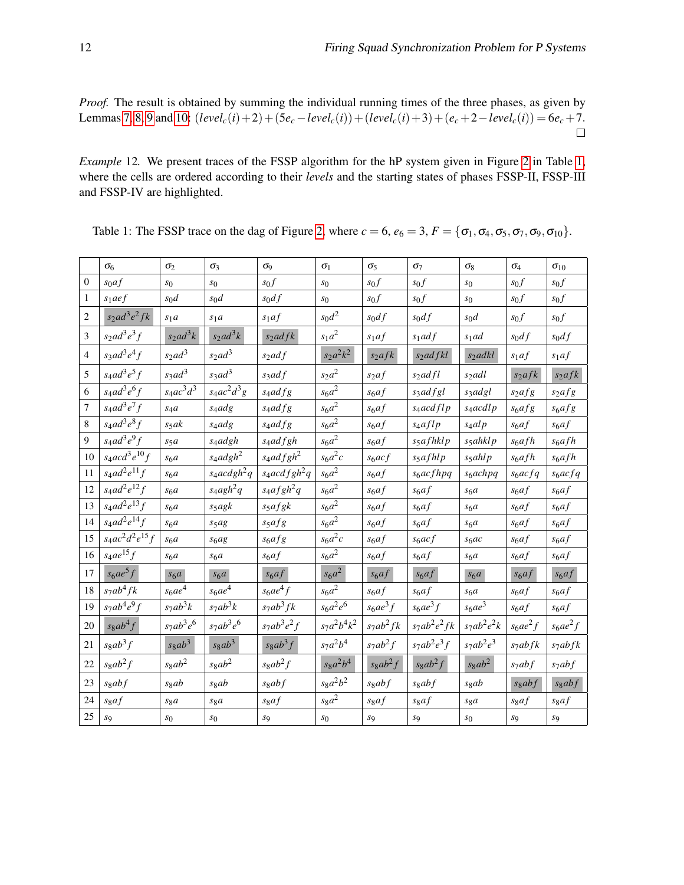*Proof.* The result is obtained by summing the individual running times of the three phases, as given by Lemmas [7,](#page-9-2) [8,](#page-9-3) [9](#page-10-1) and [10:](#page-10-2)  $(level_c(i) + 2) + (5e_c - level_c(i)) + (level_c(i) + 3) + (e_c + 2 - level_c(i)) = 6e_c + 7.$  $\Box$ 

<span id="page-11-0"></span>*Example* 12*.* We present traces of the FSSP algorithm for the hP system given in Figure [2](#page-3-1) in Table [1,](#page-11-1) where the cells are ordered according to their *levels* and the starting states of phases FSSP-II, FSSP-III and FSSP-IV are highlighted.

|                | $\sigma_6$                             | $\sigma_2$                     | $\sigma_3$               | $\sigma_9$                 | $\sigma_1$     | $\sigma_5$         | $\sigma_7$             | $\sigma_8$           | $\sigma_4$         | $\sigma_{10}$      |
|----------------|----------------------------------------|--------------------------------|--------------------------|----------------------------|----------------|--------------------|------------------------|----------------------|--------------------|--------------------|
| $\theta$       | $s_0af$                                | s <sub>0</sub>                 | s <sub>0</sub>           | $s_0f$                     | s <sub>0</sub> | $s_0 f$            | $s_0f$                 | s <sub>0</sub>       | $s_0f$             | $s_0 f$            |
| 1              | $s_1 a e f$                            | $s_0d$                         | $s_0d$                   | $s_0 df$                   | s <sub>0</sub> | $s_0 f$            | $s_0 f$                | s <sub>0</sub>       | $s_0 f$            | $s_0 f$            |
| $\overline{c}$ | $s_2 ad^3 e^2 f k$                     | s <sub>1</sub> a               | s <sub>1</sub> a         | $s_1af$                    | $s_0d^2$       | $s_0 df$           | $s_0 df$               | $s_0d$               | $s_0 f$            | $s_0 f$            |
| 3              | $s_2 ad^3 e^3 f$                       | $s_2ad^3k$                     | $s_2ad^3k$               | $s_2$ <i>adfk</i>          | $s_1a^2$       | $s_1af$            | $s_1$ ad f             | $s_1$ ad             | $s_0 df$           | $s_0 df$           |
| 4              | $s_3ad^3e^4f$                          | $s_2$ ad <sup>3</sup>          | $s_2ad^3$                | $s_2$ ad f                 | $s_2a^2k^2$    | $s_2$ afk          | s <sub>2</sub> adfkl   | s <sub>2</sub> adkl  | $s_1af$            | $s_1af$            |
| 5              | $s_4$ ad <sup>3</sup> e <sup>5</sup> f | $s_3$ ad <sup>3</sup>          | $s_3$ ad <sup>3</sup>    | $s_3$ ad f                 | $s_2a^2$       | $s_2af$            | $s_2$ ad fl            | $s_2$ adl            | $s_2$ afk          | $s_2$ afk          |
| 6              | $s_4ad^3e^6f$                          | $s_4ac^3d^3$                   | $s_4ac^2d^3g$            | $s_4$ ad $fg$              | $s_6a^2$       | $s_6af$            | $s_3$ ad f gl          | s3adgl               | $s_2$ af g         | $s_2$ afg          |
| 7              | $s_4ad^3e^7f$                          | $s_4a$                         | s <sub>4</sub> adg       | $s_4$ ad $fg$              | $s_6a^2$       | s <sub>6</sub> af  | s <sub>4</sub> acd flp | $s_4 \alpha c d l p$ | $s_6$ af g         | $s_6$ af g         |
| 8              | $s_4ad^3e^8f$                          | $s_5$ ak                       | s <sub>4</sub> adg       | $s_4$ ad f g               | $s_6a^2$       | s <sub>6</sub> af  | $s_4$ aflp             | $s_4$ al p           | s <sub>6</sub> af  | s <sub>6</sub> af  |
| 9              | $s_4ad^3e^9f$                          | s <sub>5</sub> a               | s <sub>4</sub> adgh      | $s_4$ ad f gh              | $s_6a^2$       | s <sub>6</sub> af  | $s_5$ af hkl $p$       | $s_5$ ahkl $p$       | s <sub>6</sub> afh | s <sub>6</sub> afh |
| 10             | $s_4acd^3e^{10}f$                      | s <sub>6</sub> a               | $s_4$ adgh <sup>2</sup>  | $s_4$ ad f gh <sup>2</sup> | $s_6a^2c$      | $s_6$ ac f         | $s_5$ afhlp            | s <sub>5</sub> ahlp  | s <sub>6</sub> afh | $s_6 afh$          |
| 11             | $s_4 a d^2 e^{11} f$                   | s <sub>6</sub> a               | $s_4acdgh^2q$            | $s_4 \alpha c d f g h^2 q$ | $s_6a^2$       | $s_6af$            | $s_6$ acfhpq           | $s_6 \alpha chpq$    | $s_6$ ac f q       | $s_6$ acfq         |
| 12             | $s_4 a d^2 e^{12} f$                   | s <sub>6</sub> a               | $s_4$ agh <sup>2</sup> q | $s_4$ afgh <sup>2</sup> q  | $s_6a^2$       | s <sub>6</sub> af  | s <sub>6</sub> af      | s <sub>6</sub> a     | s <sub>6</sub> af  | $s_6af$            |
| 13             | $s_4 ad^2 e^{13} f$                    | s <sub>6</sub> a               | $s_5$ agk                | $s_5$ afgk                 | $s_6a^2$       | s <sub>6</sub> af  | s <sub>6</sub> af      | s <sub>6</sub> a     | $s_6af$            | s <sub>6</sub> af  |
| 14             | $s_4 a d^2 e^{14} f$                   | s <sub>6</sub> a               | s <sub>5</sub> ag        | $s_5afg$                   | $s_6a^2$       | s <sub>6</sub> af  | s <sub>6</sub> af      | s <sub>6</sub> a     | s <sub>6</sub> af  | s <sub>6</sub> af  |
| 15             | $s_4ac^2d^2e^{15}f$                    | s <sub>6</sub> a               | $s_6ag$                  | $s_6$ af g                 | $s_6a^2c$      | s <sub>6</sub> af  | $s_6acf$               | $s_6ac$              | s <sub>6</sub> af  | s <sub>6</sub> af  |
| 16             | $s_4ae^{15}f$                          | s <sub>6</sub> a               | s <sub>6</sub> a         | s <sub>6</sub> af          | $s_6a^2$       | s <sub>6</sub> af  | s <sub>6</sub> af      | s <sub>6</sub> a     | s <sub>6</sub> af  | s <sub>6</sub> af  |
| 17             | $s_6ae^5f$                             | s <sub>6</sub> a               | s <sub>6</sub> a         | s <sub>6</sub> af          | $s_6a^2$       | s <sub>6</sub> af  | s <sub>6</sub> af      | s <sub>6</sub> a     | s <sub>6</sub> af  | s <sub>6</sub> af  |
| 18             | $s_7ab^4fk$                            | $s_6ae^4$                      | $s_6 a e^4$              | $s_6 a e^4 f$              | $s_6a^2$       | s <sub>6</sub> af  | s <sub>6</sub> af      | s <sub>6</sub> a     | s <sub>6</sub> af  | s <sub>6</sub> af  |
| 19             | $s_7ab^4e^9f$                          | $s_7ab^3k$                     | $s_7ab^3k$               | $s_7ab^3fk$                | $s_6 a^2 e^6$  | $s_6ae^3f$         | $s_6ae^3f$             | $s_6ae^3$            | s <sub>6</sub> af  | s <sub>6</sub> af  |
| 20             | $s_8ab^4f$                             | $s_7ab^3e^6$                   | $s_7ab^3e^6$             | $s_7ab^3e^2f$              | $s_7a^2b^4k^2$ | $s_7ab^2fk$        | $s_7ab^2e^2fk$         | $s_7ab^2e^2k$        | $s_6ae^2f$         | $s_6 a e^2 f$      |
| 21             | $s_8ab^3f$                             | s <sub>8</sub> ab <sup>3</sup> | $s_8ab^3$                | $s_8ab^3f$                 | $s_7a^2b^4$    | $s_7ab^2f$         | $s_7ab^2e^3f$          | $s_7ab^2e^3$         | $s_7abfk$          | $s_7abfk$          |
| 22             | $s_8ab^2f$                             | $s_8ab^2$                      | $s_8ab^2$                | $s_8ab^2f$                 | $s_8a^2b^4$    | $s_8ab^2f$         | $s_8ab^2f$             | $s_8ab^2$            | $s_7abf$           | $s_7abf$           |
| 23             | s <sub>8</sub> abf                     | s <sub>8</sub> ab              | s <sub>8</sub> ab        | s <sub>8</sub> abf         | $s_8a^2b^2$    | s <sub>8</sub> abf | s <sub>8</sub> abf     | s <sub>8</sub> ab    | s <sub>8</sub> abf | s <sub>8</sub> abf |
| 24             | $s_8af$                                | $s_8a$                         | $s_8a$                   | $s_8af$                    | $s_8a^2$       | sgaf               | $s_8af$                | $s_8a$               | sgaf               | $s_8af$            |
| 25             | $S_{Q}$                                | s <sub>0</sub>                 | $S_{0}$                  | $S_{\mathbf{Q}}$           | $s_0$          | Sq                 | $S_{Q}$                | s <sub>0</sub>       | $S_{\mathbf{Q}}$   | $S_{9}$            |

<span id="page-11-1"></span>Table 1: The FSSP trace on the dag of Figure [2,](#page-3-1) where  $c = 6$ ,  $e_6 = 3$ ,  $F = {\sigma_1, \sigma_4, \sigma_5, \sigma_7, \sigma_9, \sigma_{10}}$ .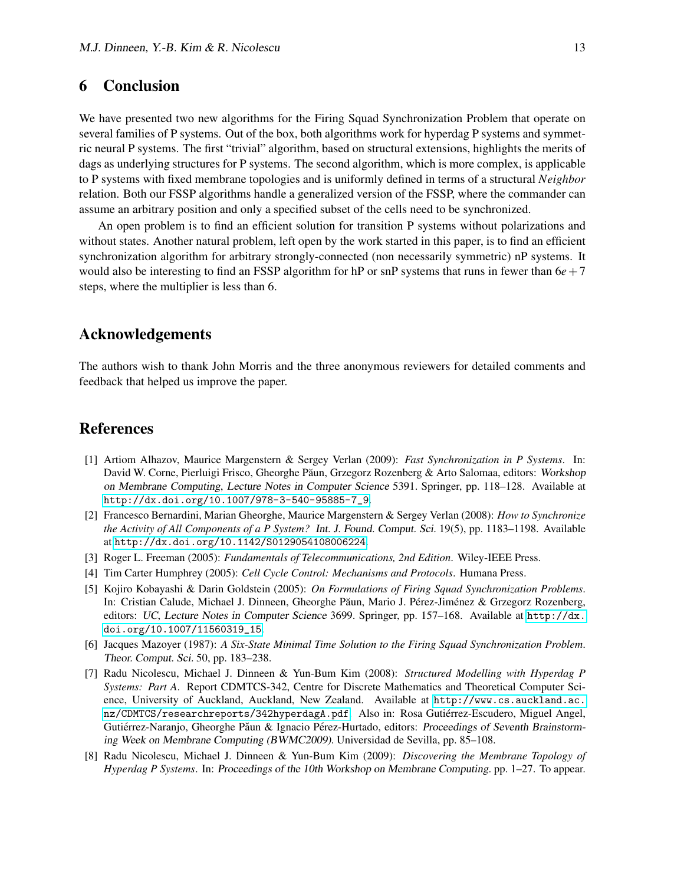### 6 Conclusion

We have presented two new algorithms for the Firing Squad Synchronization Problem that operate on several families of P systems. Out of the box, both algorithms work for hyperdag P systems and symmetric neural P systems. The first "trivial" algorithm, based on structural extensions, highlights the merits of dags as underlying structures for P systems. The second algorithm, which is more complex, is applicable to P systems with fixed membrane topologies and is uniformly defined in terms of a structural *Neighbor* relation. Both our FSSP algorithms handle a generalized version of the FSSP, where the commander can assume an arbitrary position and only a specified subset of the cells need to be synchronized.

An open problem is to find an efficient solution for transition P systems without polarizations and without states. Another natural problem, left open by the work started in this paper, is to find an efficient synchronization algorithm for arbitrary strongly-connected (non necessarily symmetric) nP systems. It would also be interesting to find an FSSP algorithm for hP or snP systems that runs in fewer than  $6e+7$ steps, where the multiplier is less than 6.

### Acknowledgements

The authors wish to thank John Morris and the three anonymous reviewers for detailed comments and feedback that helped us improve the paper.

### References

- <span id="page-12-5"></span>[1] Artiom Alhazov, Maurice Margenstern & Sergey Verlan (2009): *Fast Synchronization in P Systems*. In: David W. Corne, Pierluigi Frisco, Gheorghe Păun, Grzegorz Rozenberg & Arto Salomaa, editors: Workshop on Membrane Computing, Lecture Notes in Computer Science 5391. Springer, pp. 118–128. Available at [http://dx.doi.org/10.1007/978-3-540-95885-7\\_9](http://dx.doi.org/10.1007/978-3-540-95885-7_9).
- <span id="page-12-4"></span>[2] Francesco Bernardini, Marian Gheorghe, Maurice Margenstern & Sergey Verlan (2008): *How to Synchronize the Activity of All Components of a P System?* Int. J. Found. Comput. Sci. 19(5), pp. 1183–1198. Available at <http://dx.doi.org/10.1142/S0129054108006224>.
- <span id="page-12-3"></span>[3] Roger L. Freeman (2005): *Fundamentals of Telecommunications, 2nd Edition*. Wiley-IEEE Press.
- <span id="page-12-2"></span>[4] Tim Carter Humphrey (2005): *Cell Cycle Control: Mechanisms and Protocols*. Humana Press.
- <span id="page-12-0"></span>[5] Kojiro Kobayashi & Darin Goldstein (2005): *On Formulations of Firing Squad Synchronization Problems*. In: Cristian Calude, Michael J. Dinneen, Gheorghe Păun, Mario J. Pérez-Jiménez & Grzegorz Rozenberg, editors: UC, Lecture Notes in Computer Science 3699. Springer, pp. 157–168. Available at [http://dx.](http://dx.doi.org/10.1007/11560319_15) [doi.org/10.1007/11560319\\_15](http://dx.doi.org/10.1007/11560319_15).
- <span id="page-12-1"></span>[6] Jacques Mazoyer (1987): *A Six-State Minimal Time Solution to the Firing Squad Synchronization Problem*. Theor. Comput. Sci. 50, pp. 183–238.
- <span id="page-12-6"></span>[7] Radu Nicolescu, Michael J. Dinneen & Yun-Bum Kim (2008): *Structured Modelling with Hyperdag P Systems: Part A*. Report CDMTCS-342, Centre for Discrete Mathematics and Theoretical Computer Science, University of Auckland, Auckland, New Zealand. Available at [http://www.cs.auckland.ac.](http://www.cs.auckland.ac.nz/CDMTCS/researchreports/342hyperdagA.pdf) [nz/CDMTCS/researchreports/342hyperdagA.pdf](http://www.cs.auckland.ac.nz/CDMTCS/researchreports/342hyperdagA.pdf). Also in: Rosa Gutiérrez-Escudero, Miguel Angel, Gutiérrez-Naranjo, Gheorghe Păun & Ignacio Pérez-Hurtado, editors: *Proceedings of Seventh Brainstorm*ing Week on Membrane Computing (BWMC2009). Universidad de Sevilla, pp. 85–108.
- <span id="page-12-7"></span>[8] Radu Nicolescu, Michael J. Dinneen & Yun-Bum Kim (2009): *Discovering the Membrane Topology of Hyperdag P Systems*. In: Proceedings of the 10th Workshop on Membrane Computing. pp. 1–27. To appear.